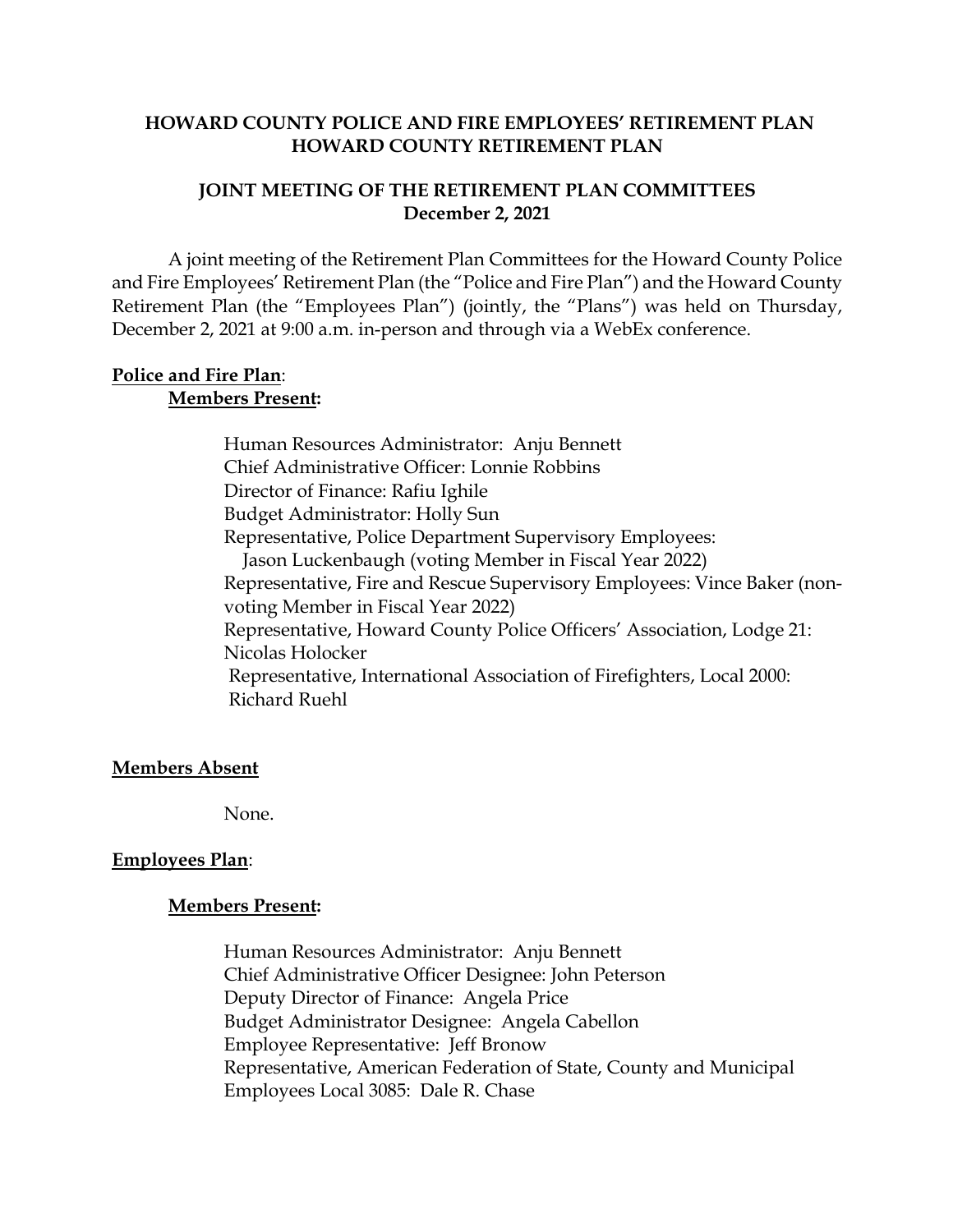#### **HOWARD COUNTY POLICE AND FIRE EMPLOYEES' RETIREMENT PLAN HOWARD COUNTY RETIREMENT PLAN**

#### **JOINT MEETING OF THE RETIREMENT PLAN COMMITTEES December 2, 2021**

A joint meeting of the Retirement Plan Committees for the Howard County Police and Fire Employees' Retirement Plan (the "Police and Fire Plan") and the Howard County Retirement Plan (the "Employees Plan") (jointly, the "Plans") was held on Thursday, December 2, 2021 at 9:00 a.m. in-person and through via a WebEx conference.

#### **Police and Fire Plan**: **Members Present:**

Human Resources Administrator: Anju Bennett Chief Administrative Officer: Lonnie Robbins Director of Finance: Rafiu Ighile Budget Administrator: Holly Sun Representative, Police Department Supervisory Employees: Jason Luckenbaugh (voting Member in Fiscal Year 2022) Representative, Fire and Rescue Supervisory Employees: Vince Baker (nonvoting Member in Fiscal Year 2022) Representative, Howard County Police Officers' Association, Lodge 21: Nicolas Holocker Representative, International Association of Firefighters, Local 2000: Richard Ruehl

### **Members Absent**

None.

### **Employees Plan**:

#### **Members Present:**

Human Resources Administrator: Anju Bennett Chief Administrative Officer Designee: John Peterson Deputy Director of Finance: Angela Price Budget Administrator Designee: Angela Cabellon Employee Representative: Jeff Bronow Representative, American Federation of State, County and Municipal Employees Local 3085: Dale R. Chase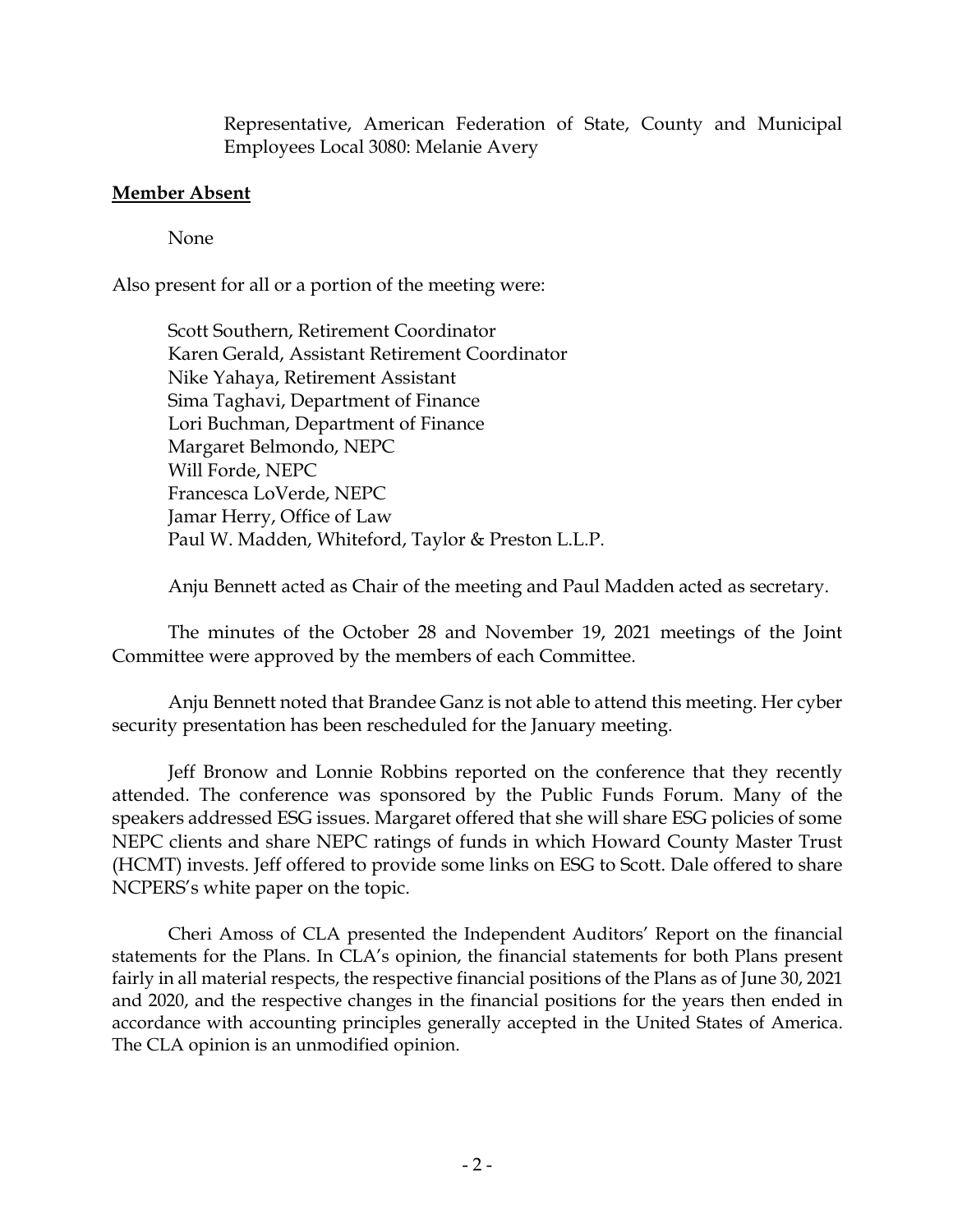Representative, American Federation of State, County and Municipal Employees Local 3080: Melanie Avery

## **Member Absent**

None

Also present for all or a portion of the meeting were:

Scott Southern, Retirement Coordinator Karen Gerald, Assistant Retirement Coordinator Nike Yahaya, Retirement Assistant Sima Taghavi, Department of Finance Lori Buchman, Department of Finance Margaret Belmondo, NEPC Will Forde, NEPC Francesca LoVerde, NEPC Jamar Herry, Office of Law Paul W. Madden, Whiteford, Taylor & Preston L.L.P.

Anju Bennett acted as Chair of the meeting and Paul Madden acted as secretary.

The minutes of the October 28 and November 19, 2021 meetings of the Joint Committee were approved by the members of each Committee.

Anju Bennett noted that Brandee Ganz is not able to attend this meeting. Her cyber security presentation has been rescheduled for the January meeting.

Jeff Bronow and Lonnie Robbins reported on the conference that they recently attended. The conference was sponsored by the Public Funds Forum. Many of the speakers addressed ESG issues. Margaret offered that she will share ESG policies of some NEPC clients and share NEPC ratings of funds in which Howard County Master Trust (HCMT) invests. Jeff offered to provide some links on ESG to Scott. Dale offered to share NCPERS's white paper on the topic.

Cheri Amoss of CLA presented the Independent Auditors' Report on the financial statements for the Plans. In CLA's opinion, the financial statements for both Plans present fairly in all material respects, the respective financial positions of the Plans as of June 30, 2021 and 2020, and the respective changes in the financial positions for the years then ended in accordance with accounting principles generally accepted in the United States of America. The CLA opinion is an unmodified opinion.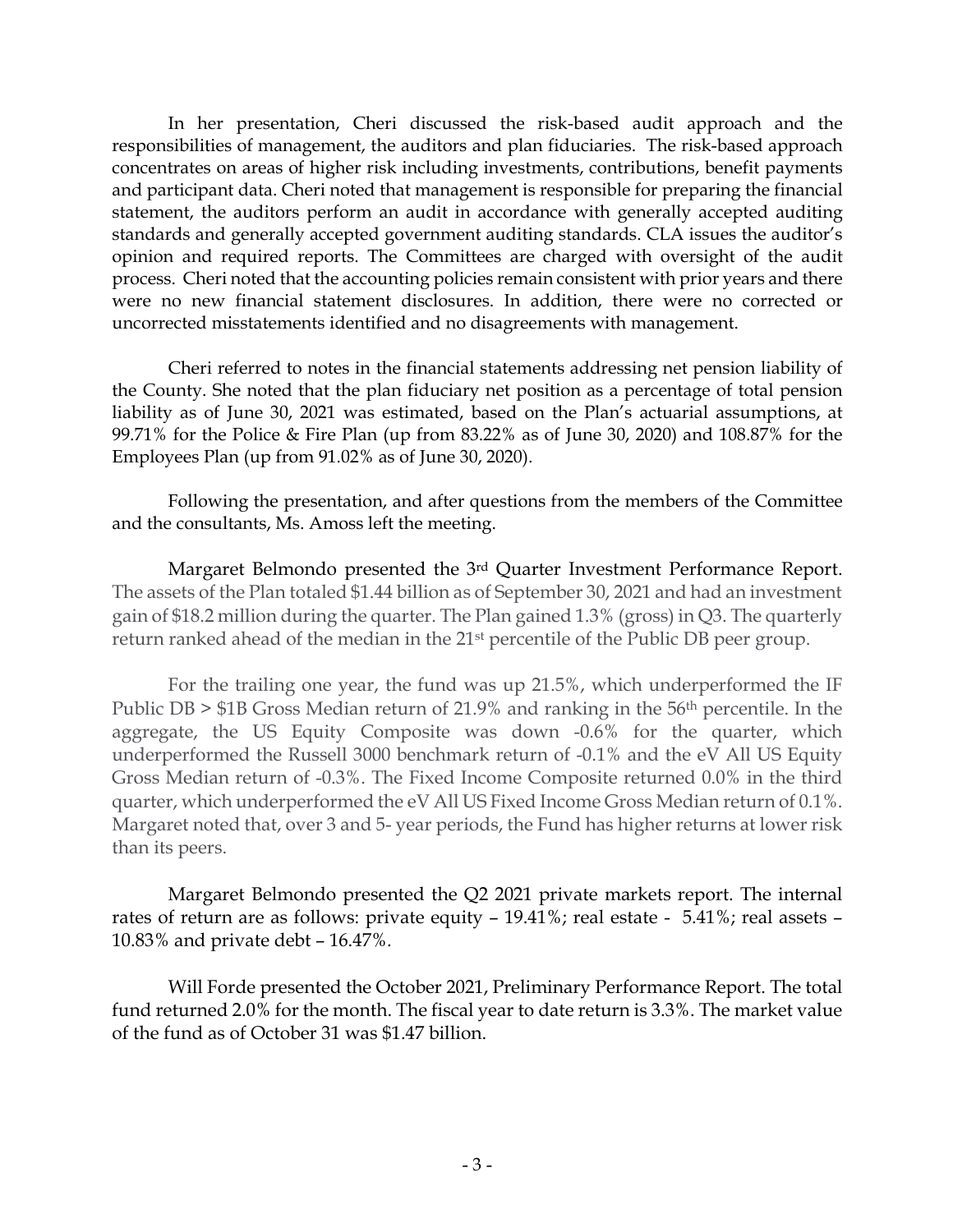In her presentation, Cheri discussed the risk-based audit approach and the responsibilities of management, the auditors and plan fiduciaries. The risk-based approach concentrates on areas of higher risk including investments, contributions, benefit payments and participant data. Cheri noted that management is responsible for preparing the financial statement, the auditors perform an audit in accordance with generally accepted auditing standards and generally accepted government auditing standards. CLA issues the auditor's opinion and required reports. The Committees are charged with oversight of the audit process. Cheri noted that the accounting policies remain consistent with prior years and there were no new financial statement disclosures. In addition, there were no corrected or uncorrected misstatements identified and no disagreements with management.

Cheri referred to notes in the financial statements addressing net pension liability of the County. She noted that the plan fiduciary net position as a percentage of total pension liability as of June 30, 2021 was estimated, based on the Plan's actuarial assumptions, at 99.71% for the Police & Fire Plan (up from 83.22% as of June 30, 2020) and 108.87% for the Employees Plan (up from 91.02% as of June 30, 2020).

Following the presentation, and after questions from the members of the Committee and the consultants, Ms. Amoss left the meeting.

Margaret Belmondo presented the 3rd Quarter Investment Performance Report. The assets of the Plan totaled \$1.44 billion as of September 30, 2021 and had an investment gain of \$18.2 million during the quarter. The Plan gained 1.3% (gross) in Q3. The quarterly return ranked ahead of the median in the 21st percentile of the Public DB peer group.

For the trailing one year, the fund was up 21.5%, which underperformed the IF Public DB > \$1B Gross Median return of 21.9% and ranking in the 56th percentile. In the aggregate, the US Equity Composite was down -0.6% for the quarter, which underperformed the Russell 3000 benchmark return of -0.1% and the eV All US Equity Gross Median return of -0.3%. The Fixed Income Composite returned 0.0% in the third quarter, which underperformed the eV All US Fixed Income Gross Median return of 0.1%. Margaret noted that, over 3 and 5- year periods, the Fund has higher returns at lower risk than its peers.

Margaret Belmondo presented the Q2 2021 private markets report. The internal rates of return are as follows: private equity – 19.41%; real estate - 5.41%; real assets – 10.83% and private debt – 16.47%.

Will Forde presented the October 2021, Preliminary Performance Report. The total fund returned 2.0% for the month. The fiscal year to date return is 3.3%. The market value of the fund as of October 31 was \$1.47 billion.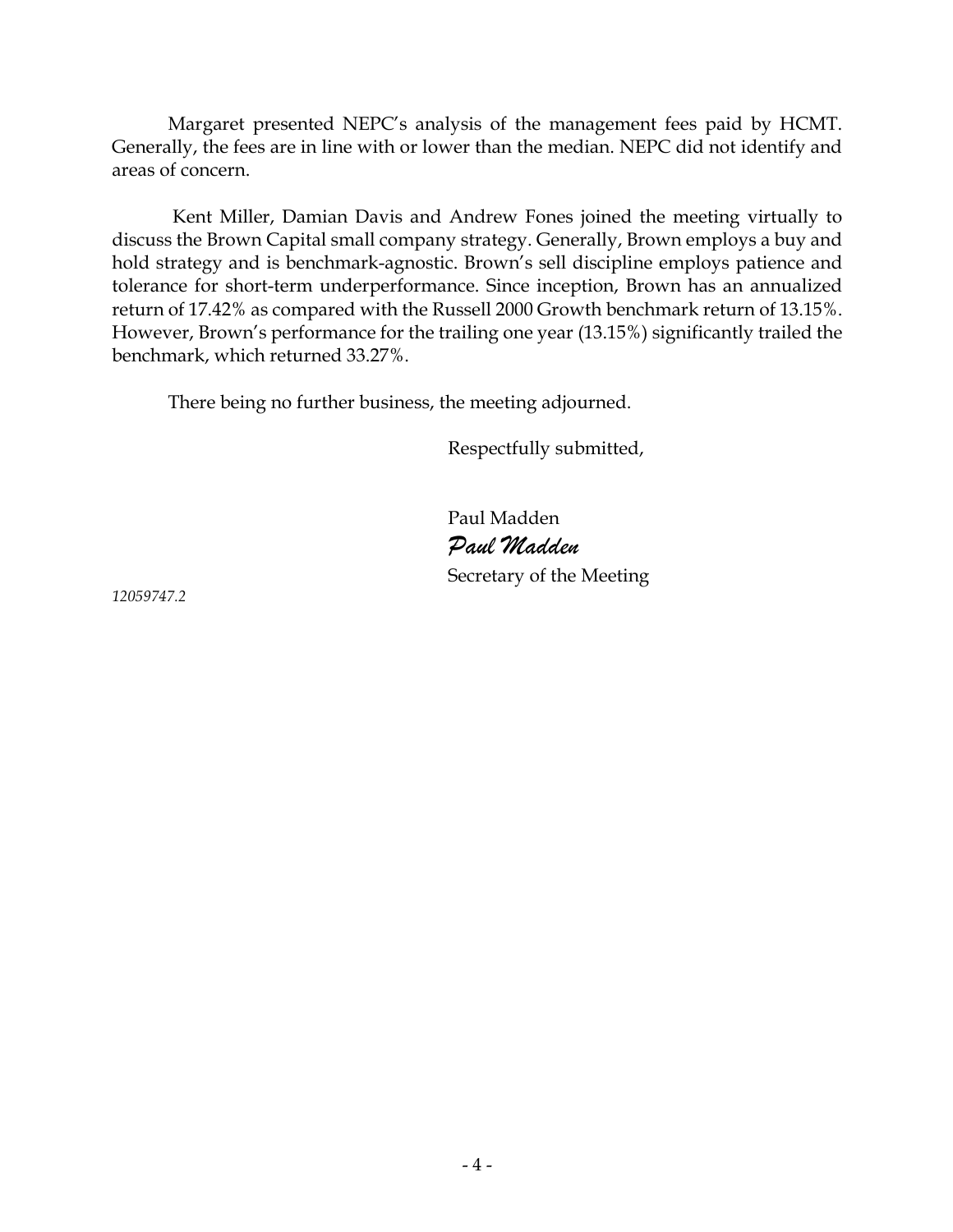Margaret presented NEPC's analysis of the management fees paid by HCMT. Generally, the fees are in line with or lower than the median. NEPC did not identify and areas of concern.

 Kent Miller, Damian Davis and Andrew Fones joined the meeting virtually to discuss the Brown Capital small company strategy. Generally, Brown employs a buy and hold strategy and is benchmark-agnostic. Brown's sell discipline employs patience and tolerance for short-term underperformance. Since inception, Brown has an annualized return of 17.42% as compared with the Russell 2000 Growth benchmark return of 13.15%. However, Brown's performance for the trailing one year (13.15%) significantly trailed the benchmark, which returned 33.27%.

There being no further business, the meeting adjourned.

Respectfully submitted,

Paul Madden *Paul Madden* Secretary of the Meeting

*12059747.2*